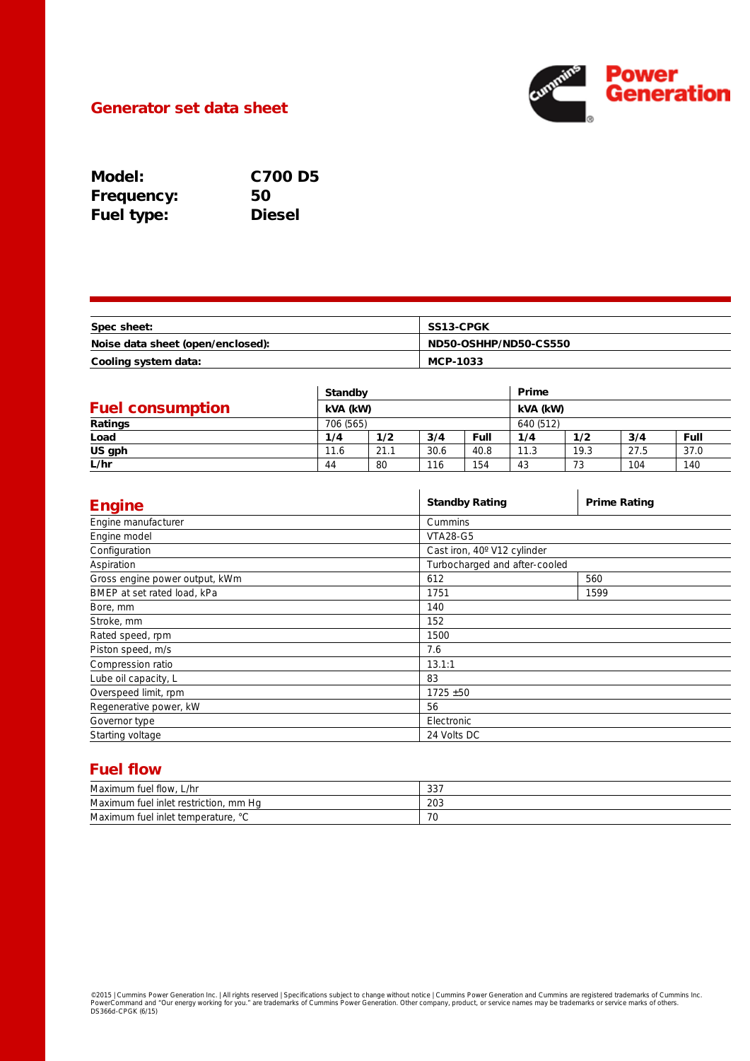

## Generator set data sheet

| Model:            | <b>C700 D5</b> |
|-------------------|----------------|
| <b>Frequency:</b> | 50             |
| <b>Fuel type:</b> | <b>Diesel</b>  |

| Spec sheet:                       | <b>SS13-CPGK</b>      |
|-----------------------------------|-----------------------|
| Noise data sheet (open/enclosed): | ND50-OSHHP/ND50-CS550 |
| Cooling system data:              | MCP-1033              |

|                         |           | <b>Standby</b><br>kVA (kW) |      | Prime<br>kVA (kW) |           |      |      |      |
|-------------------------|-----------|----------------------------|------|-------------------|-----------|------|------|------|
| <b>Fuel consumption</b> |           |                            |      |                   |           |      |      |      |
| Ratings                 | 706 (565) |                            |      |                   | 640 (512) |      |      |      |
| Load                    | 1/4       | 1/2                        | 3/4  | Full              | 1/4       | 1/2  | 3/4  | Full |
| US gph                  | 11.6      | 21.1                       | 30.6 | 40.8              | 11.3      | 19.3 | 27.5 | 37.0 |
| L/hr                    | 44        | 80                         | 116  | 154               | 43        | 73   | 104  | 140  |

| <b>Engine</b>                  | <b>Standby Rating</b>         | <b>Prime Rating</b> |  |  |
|--------------------------------|-------------------------------|---------------------|--|--|
| Engine manufacturer            | Cummins                       |                     |  |  |
| Engine model                   | <b>VTA28-G5</b>               |                     |  |  |
| Configuration                  | Cast iron, 40° V12 cylinder   |                     |  |  |
| Aspiration                     | Turbocharged and after-cooled |                     |  |  |
| Gross engine power output, kWm | 612                           | 560                 |  |  |
| BMEP at set rated load, kPa    | 1751                          | 1599                |  |  |
| Bore, mm                       | 140                           |                     |  |  |
| Stroke, mm                     | 152                           |                     |  |  |
| Rated speed, rpm               | 1500                          |                     |  |  |
| Piston speed, m/s              | 7.6                           |                     |  |  |
| Compression ratio              | 13.1:1                        |                     |  |  |
| Lube oil capacity, L           | 83                            |                     |  |  |
| Overspeed limit, rpm           | $1725 + 50$                   |                     |  |  |
| Regenerative power, kW         | 56                            |                     |  |  |
| Governor type                  | Electronic                    |                     |  |  |
| Starting voltage               | 24 Volts DC                   |                     |  |  |

# Fuel flow

| Maximum fuel flow.<br>L/hr                   | 337 |
|----------------------------------------------|-----|
| Maximum fuel inlet restriction,<br>mm Ha     | 203 |
| Maximum fuel inlet temperature, '<br>$\circ$ | 70  |

©2015 | Cummins Power Generation Inc. | All rights reserved | Specifications subject to change without notice | Cummins Power Generation and Cummins are registered trademarks of Cummins Inc.<br>PowerCommand and "Our energy wo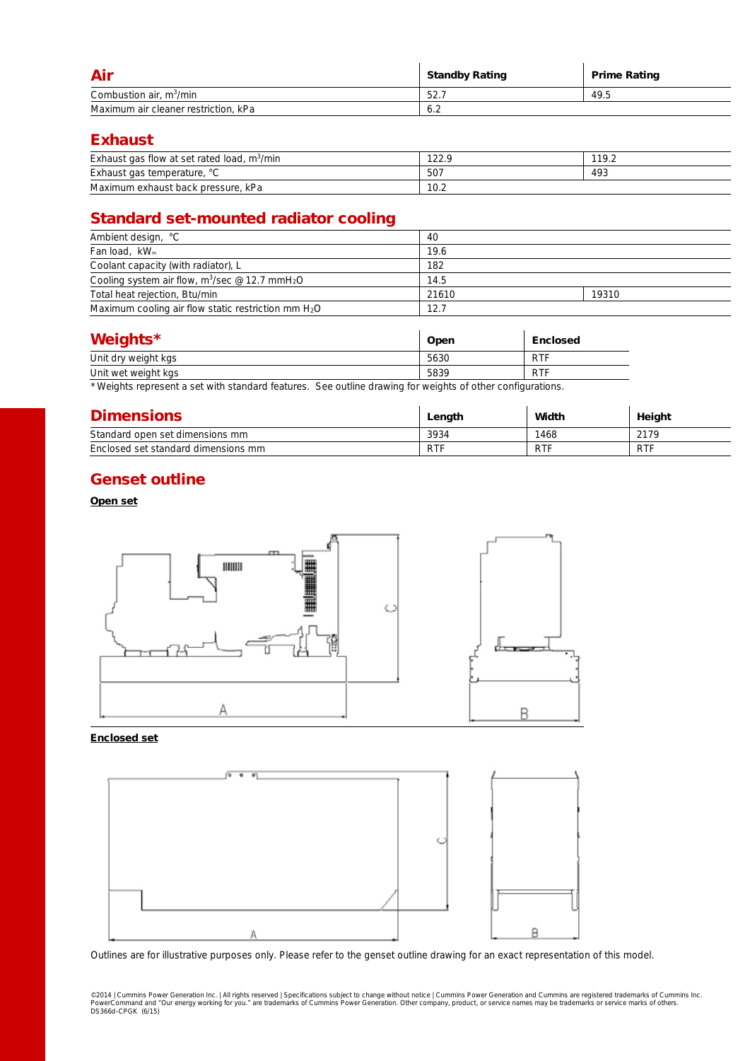| Air                                  | <b>Standby Rating</b> | <b>Prime Rating</b> |
|--------------------------------------|-----------------------|---------------------|
| Combustion air, $m^3/m$ in           | 52.                   | 49.5                |
| Maximum air cleaner restriction, kPa | 6.2                   |                     |

## Exhaust

| Exhaust gas flow at set rated load.<br>m <sup>3</sup> /min | 1222<br>∴ ∠∠ ا | 119.2 |
|------------------------------------------------------------|----------------|-------|
| Exhaust gas temperature, °C                                | 507            | 493   |
| Maximum exhaust back pressure,<br>kPa                      | 10.2           |       |

# Standard set-mounted radiator cooling

| Ambient design, °C                                                     | 40    |       |  |
|------------------------------------------------------------------------|-------|-------|--|
| Fan load, kW <sub>m</sub>                                              | 19.6  |       |  |
| Coolant capacity (with radiator), L                                    | 182   |       |  |
| Cooling system air flow, m <sup>3</sup> /sec @ 12.7 mmH <sub>2</sub> O | 14.5  |       |  |
| Total heat rejection, Btu/min                                          | 21610 | 19310 |  |
| Maximum cooling air flow static restriction mm $H_2O$                  | 12.7  |       |  |

| Weights*            | Open | <b>Enclosed</b> |
|---------------------|------|-----------------|
| Unit dry weight kgs | 5630 | <b>RTF</b>      |
| Unit wet weight kgs | 5839 | <b>RTF</b>      |

\* Weights represent a set with standard features. See outline drawing for weights of other configurations.

| <b>Dimensions</b>                   | Length     | Width      | Height     |
|-------------------------------------|------------|------------|------------|
| Standard open set dimensions mm     | 3934       | 1468       | 2179       |
| Enclosed set standard dimensions mm | <b>RTF</b> | <b>RTF</b> | <b>RTF</b> |

## Genset outline

#### Open set



#### Enclosed set



Outlines are for illustrative purposes only. Please refer to the genset outline drawing for an exact representation of this model.

©2014 | Cummins Power Generation Inc. | All rights reserved | Specifications subject to change without notice | Cummins Power Generation and Cummins are registered trademarks of Cummins Inc.<br>PowerCommand and "Our energy wo